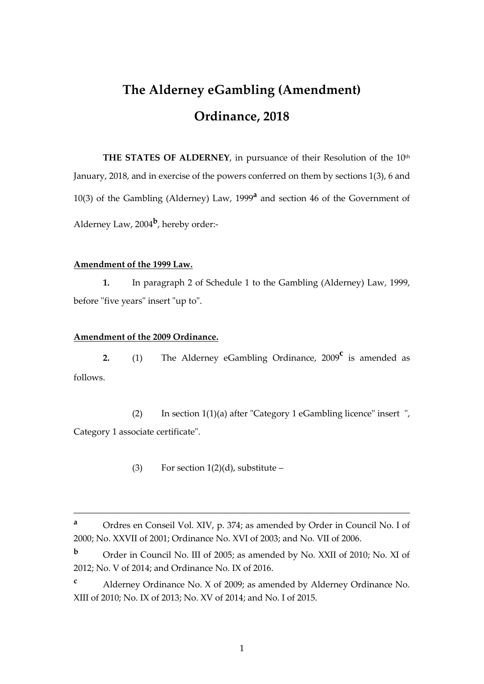# **The Alderney eGambling (Amendment) Ordinance, 2018**

THE STATES OF ALDERNEY, in pursuance of their Resolution of the 10<sup>th</sup> January, 2018, and in exercise of the powers conferred on them by sections 1(3), 6 and 10(3) of the Gambling (Alderney) Law, 1999**<sup>a</sup>** and section 46 of the Government of Alderney Law, 2004**<sup>b</sup>** , hereby order:-

#### **Amendment of the 1999 Law.**

**1.** In paragraph 2 of Schedule 1 to the Gambling (Alderney) Law, 1999, before "five years" insert "up to".

#### **Amendment of the 2009 Ordinance.**

**2.** (1) The Alderney eGambling Ordinance, 2009**<sup>c</sup>** is amended as follows.

(2) In section 1(1)(a) after "Category 1 eGambling licence" insert ", Category 1 associate certificate".

(3) For section  $1(2)(d)$ , substitute –

\_\_\_\_\_\_\_\_\_\_\_\_\_\_\_\_\_\_\_\_\_\_\_\_\_\_\_\_\_\_\_\_\_\_\_\_\_\_\_\_\_\_\_\_\_\_\_\_\_\_\_\_\_\_\_\_\_\_\_\_\_\_\_\_\_\_\_\_\_

**<sup>a</sup>** Ordres en Conseil Vol. XIV, p. 374; as amended by Order in Council No. I of 2000; No. XXVII of 2001; Ordinance No. XVI of 2003; and No. VII of 2006.

**<sup>b</sup>** Order in Council No. III of 2005; as amended by No. XXII of 2010; No. XI of 2012; No. V of 2014; and Ordinance No. IX of 2016.

**<sup>c</sup>** Alderney Ordinance No. X of 2009; as amended by Alderney Ordinance No. XIII of 2010; No. IX of 2013; No. XV of 2014; and No. I of 2015.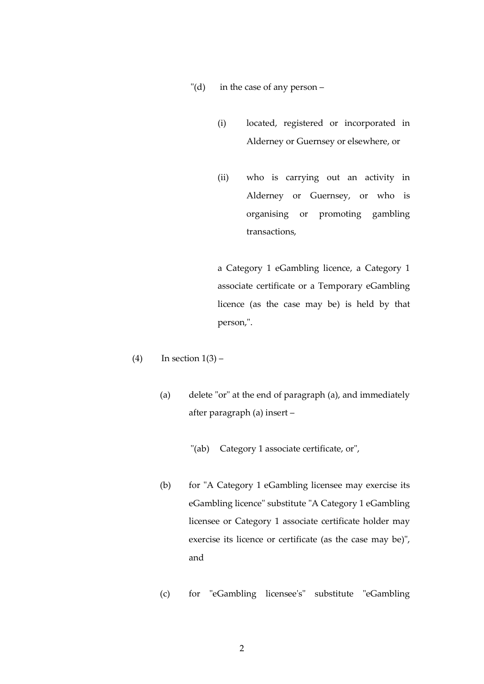- "(d) in the case of any person
	- (i) located, registered or incorporated in Alderney or Guernsey or elsewhere, or
	- (ii) who is carrying out an activity in Alderney or Guernsey, or who is organising or promoting gambling transactions,

a Category 1 eGambling licence, a Category 1 associate certificate or a Temporary eGambling licence (as the case may be) is held by that person,".

- (4) In section  $1(3)$ 
	- (a) delete "or" at the end of paragraph (a), and immediately after paragraph (a) insert –
		- "(ab) Category 1 associate certificate, or",
	- (b) for "A Category 1 eGambling licensee may exercise its eGambling licence" substitute "A Category 1 eGambling licensee or Category 1 associate certificate holder may exercise its licence or certificate (as the case may be)", and
	- (c) for "eGambling licensee's" substitute "eGambling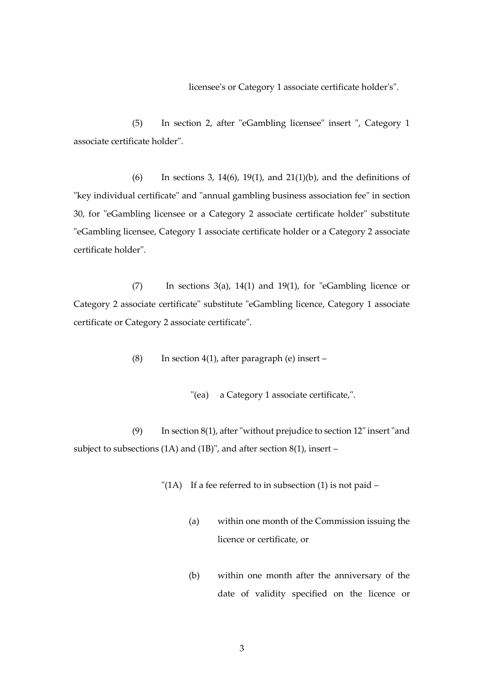licensee's or Category 1 associate certificate holder's".

(5) In section 2, after "eGambling licensee" insert ", Category 1 associate certificate holder".

(6) In sections 3, 14(6), 19(1), and 21(1)(b), and the definitions of "key individual certificate" and "annual gambling business association fee" in section 30, for "eGambling licensee or a Category 2 associate certificate holder" substitute "eGambling licensee, Category 1 associate certificate holder or a Category 2 associate certificate holder".

(7) In sections  $3(a)$ ,  $14(1)$  and  $19(1)$ , for "eGambling licence or Category 2 associate certificate" substitute "eGambling licence, Category 1 associate certificate or Category 2 associate certificate".

(8) In section 4(1), after paragraph (e) insert  $-$ 

"(ea) a Category 1 associate certificate,".

(9) In section 8(1), after "without prejudice to section 12" insert "and subject to subsections (1A) and (1B)", and after section 8(1), insert –

"(1A) If a fee referred to in subsection (1) is not paid  $-$ 

- (a) within one month of the Commission issuing the licence or certificate, or
- (b) within one month after the anniversary of the date of validity specified on the licence or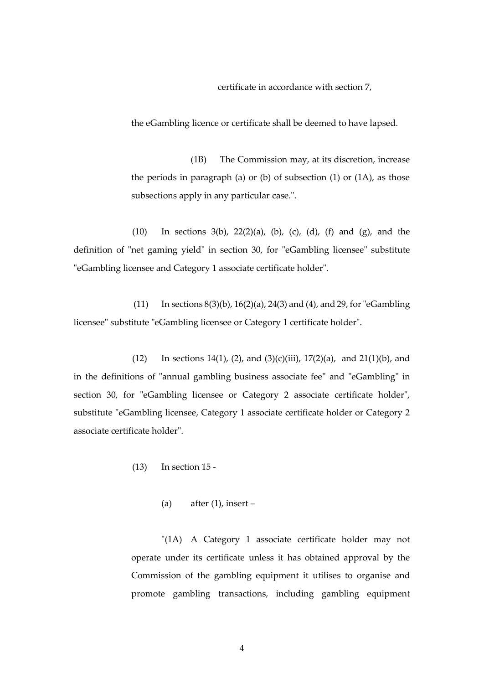certificate in accordance with section 7,

the eGambling licence or certificate shall be deemed to have lapsed.

(1B) The Commission may, at its discretion, increase the periods in paragraph (a) or (b) of subsection (1) or (1A), as those subsections apply in any particular case.".

(10) In sections  $3(b)$ ,  $22(2)(a)$ ,  $(b)$ ,  $(c)$ ,  $(d)$ ,  $(f)$  and  $(g)$ , and the definition of "net gaming yield" in section 30, for "eGambling licensee" substitute "eGambling licensee and Category 1 associate certificate holder".

(11) In sections  $8(3)(b)$ ,  $16(2)(a)$ ,  $24(3)$  and  $(4)$ , and  $29$ , for "eGambling" licensee" substitute "eGambling licensee or Category 1 certificate holder".

(12) In sections 14(1), (2), and (3)(c)(iii), 17(2)(a), and 21(1)(b), and in the definitions of "annual gambling business associate fee" and "eGambling" in section 30, for "eGambling licensee or Category 2 associate certificate holder", substitute "eGambling licensee, Category 1 associate certificate holder or Category 2 associate certificate holder".

(13) In section 15 -

(a) after  $(1)$ , insert –

"(1A) A Category 1 associate certificate holder may not operate under its certificate unless it has obtained approval by the Commission of the gambling equipment it utilises to organise and promote gambling transactions, including gambling equipment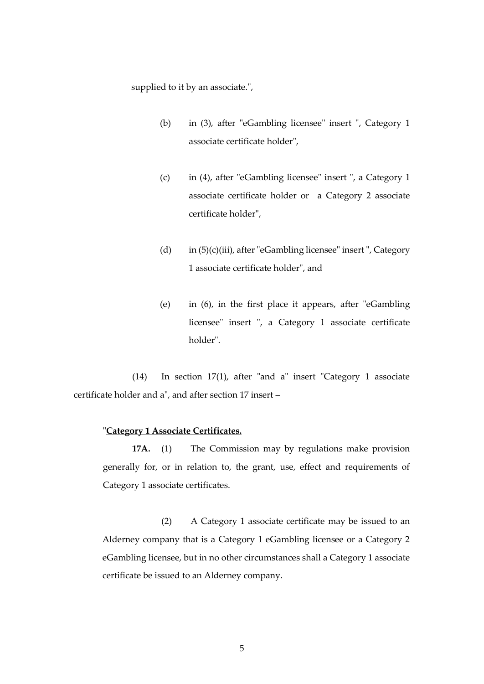supplied to it by an associate.",

- (b) in (3), after "eGambling licensee" insert ", Category 1 associate certificate holder",
- (c) in (4), after "eGambling licensee" insert ", a Category 1 associate certificate holder or a Category 2 associate certificate holder",
- (d) in (5)(c)(iii), after "eGambling licensee" insert ", Category 1 associate certificate holder", and
- (e) in (6), in the first place it appears, after "eGambling licensee" insert ", a Category 1 associate certificate holder".

(14) In section 17(1), after "and a" insert "Category 1 associate certificate holder and a", and after section 17 insert –

#### "**Category 1 Associate Certificates.**

**17A.** (1) The Commission may by regulations make provision generally for, or in relation to, the grant, use, effect and requirements of Category 1 associate certificates.

(2) A Category 1 associate certificate may be issued to an Alderney company that is a Category 1 eGambling licensee or a Category 2 eGambling licensee, but in no other circumstances shall a Category 1 associate certificate be issued to an Alderney company.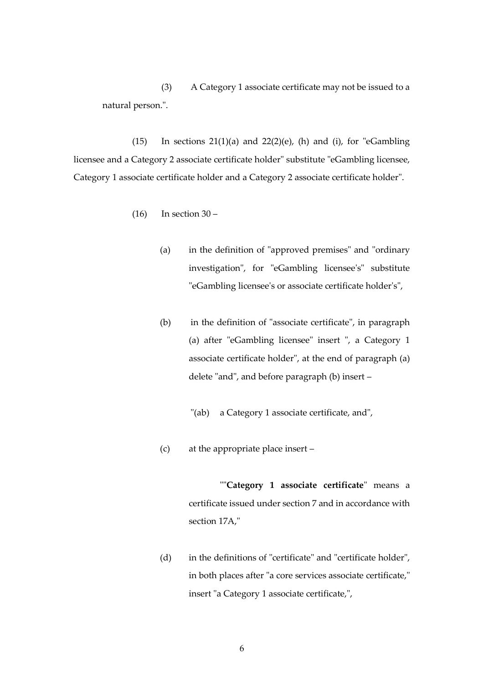(3) A Category 1 associate certificate may not be issued to a natural person.".

(15) In sections  $21(1)(a)$  and  $22(2)(e)$ , (h) and (i), for "eGambling licensee and a Category 2 associate certificate holder" substitute "eGambling licensee, Category 1 associate certificate holder and a Category 2 associate certificate holder".

- $(16)$  In section  $30 -$ 
	- (a) in the definition of "approved premises" and "ordinary investigation", for "eGambling licensee's" substitute "eGambling licensee's or associate certificate holder's",
	- (b) in the definition of "associate certificate", in paragraph (a) after "eGambling licensee" insert ", a Category 1 associate certificate holder", at the end of paragraph (a) delete "and", and before paragraph (b) insert –
		- "(ab) a Category 1 associate certificate, and",
	- (c) at the appropriate place insert –

""**Category 1 associate certificate**" means a certificate issued under section 7 and in accordance with section 17A,"

(d) in the definitions of "certificate" and "certificate holder", in both places after "a core services associate certificate," insert "a Category 1 associate certificate,",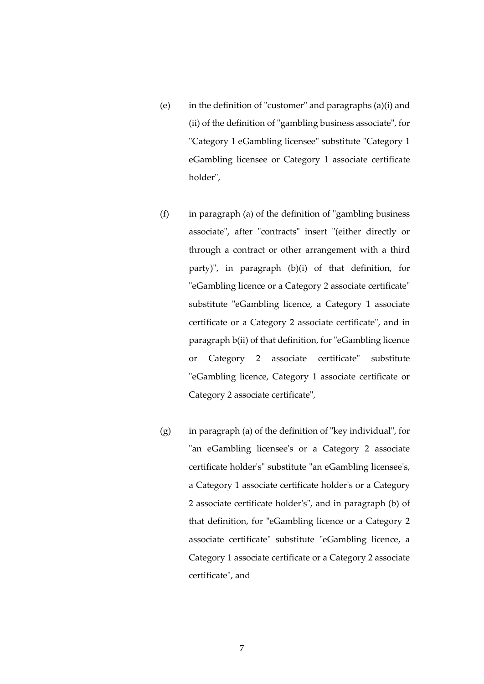- (e) in the definition of "customer" and paragraphs (a)(i) and (ii) of the definition of "gambling business associate", for "Category 1 eGambling licensee" substitute "Category 1 eGambling licensee or Category 1 associate certificate holder",
- $(f)$  in paragraph (a) of the definition of "gambling business associate", after "contracts" insert "(either directly or through a contract or other arrangement with a third party)", in paragraph (b)(i) of that definition, for "eGambling licence or a Category 2 associate certificate" substitute "eGambling licence, a Category 1 associate certificate or a Category 2 associate certificate", and in paragraph b(ii) of that definition, for "eGambling licence or Category 2 associate certificate" substitute "eGambling licence, Category 1 associate certificate or Category 2 associate certificate",
- (g) in paragraph (a) of the definition of "key individual", for "an eGambling licensee's or a Category 2 associate certificate holder's" substitute "an eGambling licensee's, a Category 1 associate certificate holder's or a Category 2 associate certificate holder's", and in paragraph (b) of that definition, for "eGambling licence or a Category 2 associate certificate" substitute "eGambling licence, a Category 1 associate certificate or a Category 2 associate certificate", and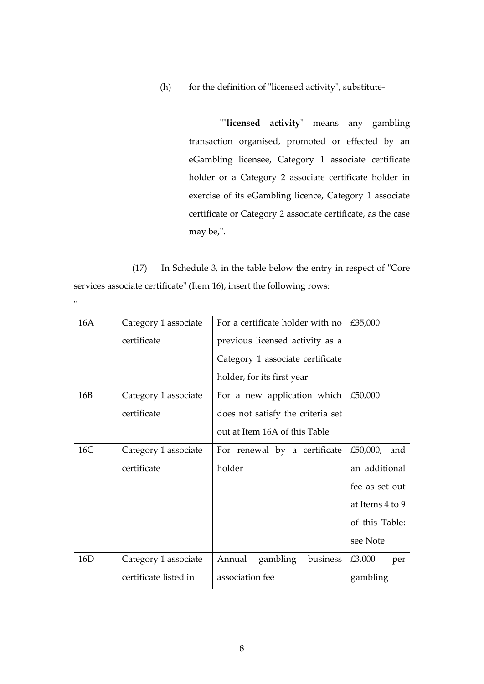(h) for the definition of "licensed activity", substitute-

""**licensed activity**" means any gambling transaction organised, promoted or effected by an eGambling licensee, Category 1 associate certificate holder or a Category 2 associate certificate holder in exercise of its eGambling licence, Category 1 associate certificate or Category 2 associate certificate, as the case may be,".

(17) In Schedule 3, in the table below the entry in respect of "Core services associate certificate" (Item 16), insert the following rows:

"

| 16A | Category 1 associate  | For a certificate holder with no  | £35,000         |
|-----|-----------------------|-----------------------------------|-----------------|
|     | certificate           | previous licensed activity as a   |                 |
|     |                       | Category 1 associate certificate  |                 |
|     |                       | holder, for its first year        |                 |
| 16B | Category 1 associate  | For a new application which       | £50,000         |
|     | certificate           | does not satisfy the criteria set |                 |
|     |                       | out at Item 16A of this Table     |                 |
| 16C | Category 1 associate  | For renewal by a certificate      | £50,000,<br>and |
|     | certificate           | holder                            | an additional   |
|     |                       |                                   | fee as set out  |
|     |                       |                                   | at Items 4 to 9 |
|     |                       |                                   | of this Table:  |
|     |                       |                                   | see Note        |
| 16D | Category 1 associate  | Annual<br>business<br>gambling    | £3,000<br>per   |
|     | certificate listed in | association fee                   | gambling        |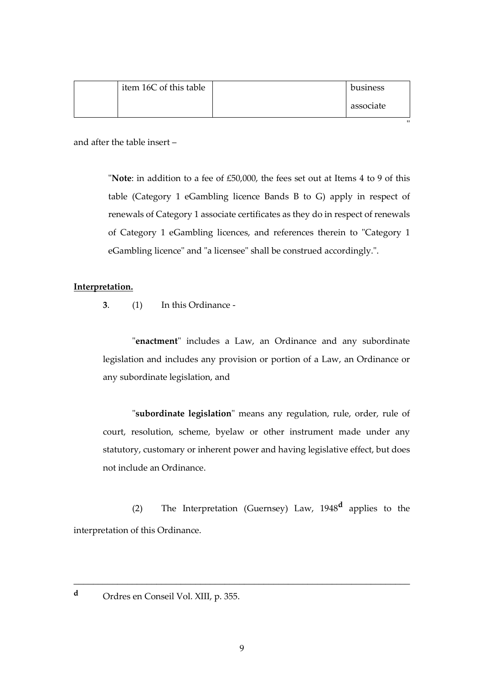|  | item 16C of this table |  | business  |
|--|------------------------|--|-----------|
|  |                        |  | associate |
|  |                        |  | "         |

and after the table insert –

"**Note**: in addition to a fee of £50,000, the fees set out at Items 4 to 9 of this table (Category 1 eGambling licence Bands B to G) apply in respect of renewals of Category 1 associate certificates as they do in respect of renewals of Category 1 eGambling licences, and references therein to "Category 1 eGambling licence" and "a licensee" shall be construed accordingly.".

### **Interpretation.**

**3**. (1) In this Ordinance -

"**enactment**" includes a Law, an Ordinance and any subordinate legislation and includes any provision or portion of a Law, an Ordinance or any subordinate legislation, and

"**subordinate legislation**" means any regulation, rule, order, rule of court, resolution, scheme, byelaw or other instrument made under any statutory, customary or inherent power and having legislative effect, but does not include an Ordinance.

(2) The Interpretation (Guernsey) Law, 1948**<sup>d</sup>** applies to the interpretation of this Ordinance.

\_\_\_\_\_\_\_\_\_\_\_\_\_\_\_\_\_\_\_\_\_\_\_\_\_\_\_\_\_\_\_\_\_\_\_\_\_\_\_\_\_\_\_\_\_\_\_\_\_\_\_\_\_\_\_\_\_\_\_\_\_\_\_\_\_\_\_\_\_

**<sup>d</sup>** Ordres en Conseil Vol. XIII, p. 355.